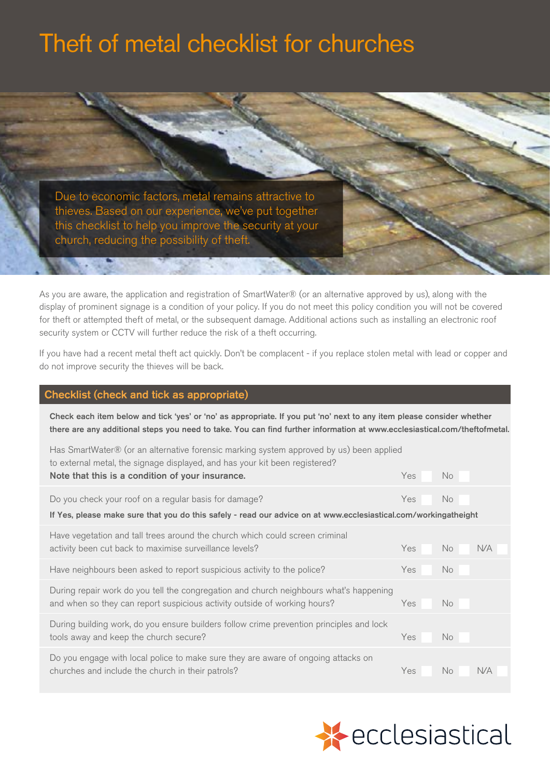# Theft of metal checklist for churches

Due to economic factors, metal remains attractive to thieves. Based on our experience, we've put together this checklist to help you improve the security at your church, reducing the possibility of theft.

As you are aware, the application and registration of SmartWater® (or an alternative approved by us), along with the display of prominent signage is a condition of your policy. If you do not meet this policy condition you will not be covered for theft or attempted theft of metal, or the subsequent damage. Additional actions such as installing an electronic roof security system or CCTV will further reduce the risk of a theft occurring.

If you have had a recent metal theft act quickly. Don't be complacent - if you replace stolen metal with lead or copper and do not improve security the thieves will be back.

# Checklist (check and tick as appropriate)

Check each item below and tick 'yes' or 'no' as appropriate. If you put 'no' next to any item please consider whether there are any additional steps you need to take. You can find further information at [www.ecclesiastical.com/theftofmetal.](www.ecclesiastical.com/theftofmetal)

| Has SmartWater® (or an alternative forensic marking system approved by us) been applied<br>to external metal, the signage displayed, and has your kit been registered? |     |     |            |  |
|------------------------------------------------------------------------------------------------------------------------------------------------------------------------|-----|-----|------------|--|
| Note that this is a condition of your insurance.                                                                                                                       | Yes | No. |            |  |
| Do you check your roof on a regular basis for damage?                                                                                                                  | Yes | No. |            |  |
| If Yes, please make sure that you do this safely - read our advice on at www.ecclesiastical.com/workingatheight                                                        |     |     |            |  |
| Have vegetation and tall trees around the church which could screen criminal                                                                                           |     |     |            |  |
| activity been cut back to maximise surveillance levels?                                                                                                                | Yes | No. | <b>N/A</b> |  |
| Have neighbours been asked to report suspicious activity to the police?                                                                                                | Yes | No. |            |  |
| During repair work do you tell the congregation and church neighbours what's happening                                                                                 |     |     |            |  |
| and when so they can report suspicious activity outside of working hours?                                                                                              | Yes | No. |            |  |
| During building work, do you ensure builders follow crime prevention principles and lock                                                                               |     |     |            |  |
| tools away and keep the church secure?                                                                                                                                 | Yes | No. |            |  |
| Do you engage with local police to make sure they are aware of ongoing attacks on                                                                                      |     |     |            |  |
| churches and include the church in their patrols?                                                                                                                      | Yes | No. | N/A        |  |
|                                                                                                                                                                        |     |     |            |  |

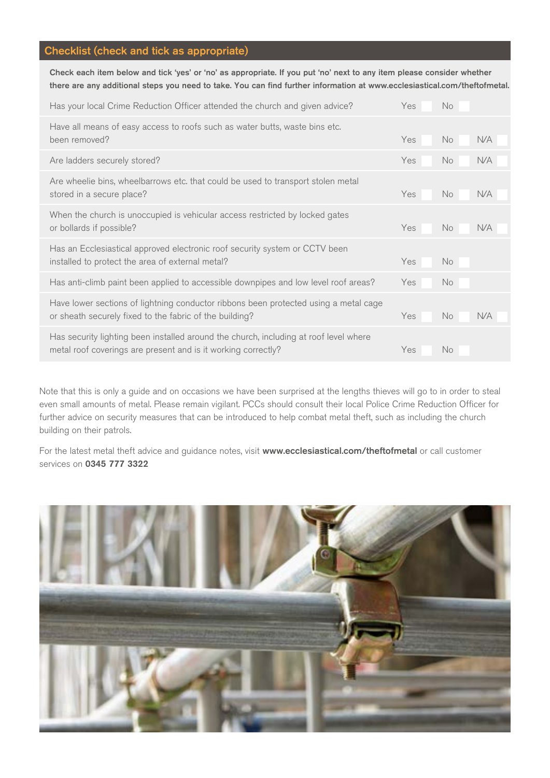# Checklist (check and tick as appropriate)

Check each item below and tick 'yes' or 'no' as appropriate. If you put 'no' next to any item please consider whether there are any additional steps you need to take. You can find further information at [www.ecclesiastical.com/theftofmetal.](www.ecclesiastical.com/theftofmetal)

| Has your local Crime Reduction Officer attended the church and given advice?<br>Yes<br><b>No</b>                                                                           |
|----------------------------------------------------------------------------------------------------------------------------------------------------------------------------|
| Have all means of easy access to roofs such as water butts, waste bins etc.<br>Yes<br>No.<br>N/A                                                                           |
| No.<br>N/A<br>Yes                                                                                                                                                          |
| Are wheelie bins, wheelbarrows etc. that could be used to transport stolen metal<br>No.<br>Yes<br>N/A                                                                      |
| When the church is unoccupied is vehicular access restricted by locked gates<br>Yes<br>No.<br><b>N/A</b>                                                                   |
| Has an Ecclesiastical approved electronic roof security system or CCTV been<br>installed to protect the area of external metal?<br>Yes<br><b>No</b>                        |
| Has anti-climb paint been applied to accessible downpipes and low level roof areas?<br>Yes<br>No.                                                                          |
| Have lower sections of lightning conductor ribbons been protected using a metal cage<br>or sheath securely fixed to the fabric of the building?<br>N/A<br>Yes<br><b>No</b> |
| Has security lighting been installed around the church, including at roof level where<br>metal roof coverings are present and is it working correctly?<br>Yes<br>No.       |
|                                                                                                                                                                            |

Note that this is only a guide and on occasions we have been surprised at the lengths thieves will go to in order to steal even small amounts of metal. Please remain vigilant. PCCs should consult their local Police Crime Reduction Officer for further advice on security measures that can be introduced to help combat metal theft, such as including the church building on their patrols.

For the latest metal theft advice and guidance notes, visit <www.ecclesiastical.com/theftofmetal> or call customer services on 0345 777 3322